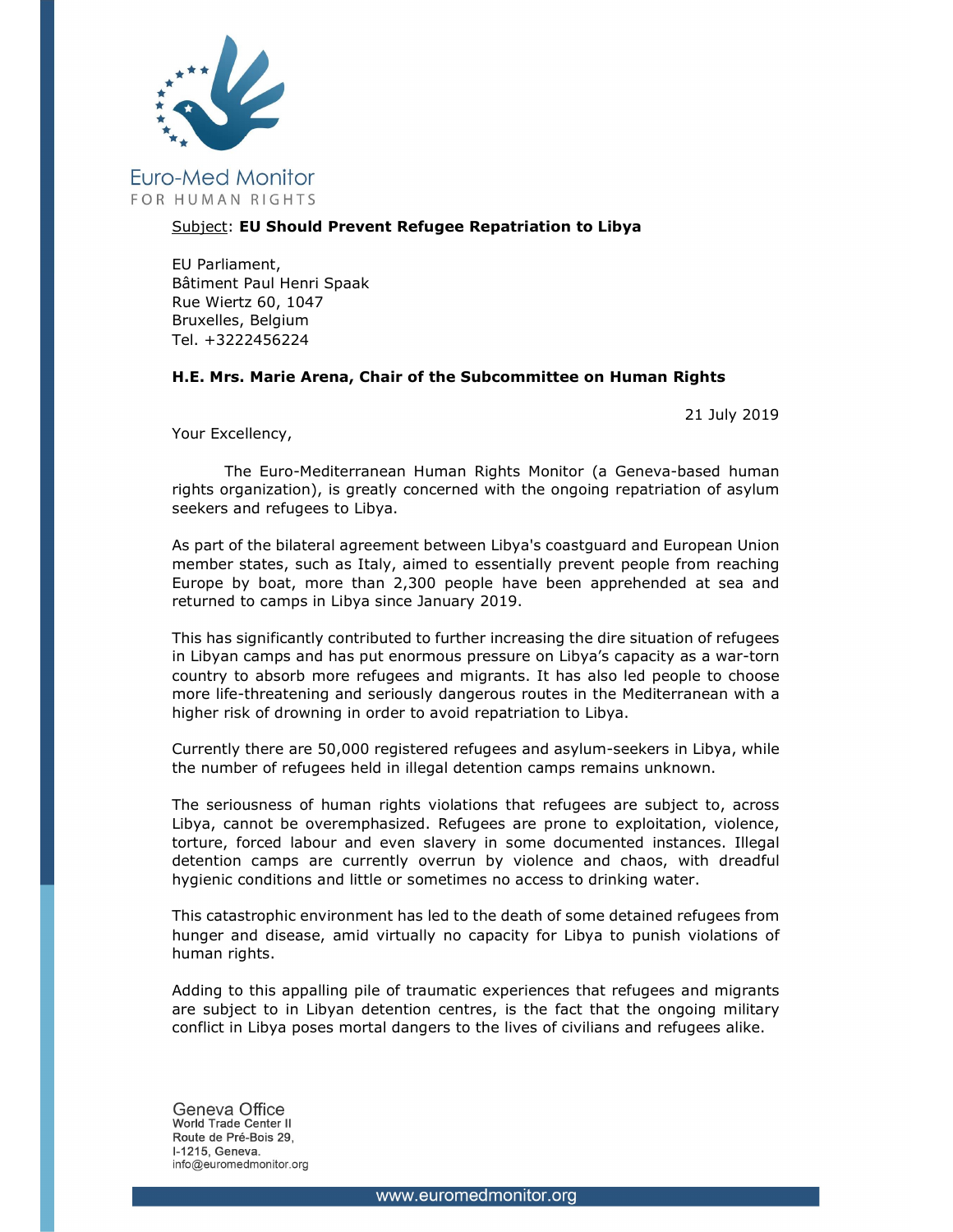

## Subject: EU Should Prevent Refugee Repatriation to Libya

EU Parliament, Bâtiment Paul Henri Spaak Rue Wiertz 60, 1047 Bruxelles, Belgium Tel. +3222456224

## H.E. Mrs. Marie Arena, Chair of the Subcommittee on Human Rights

21 July 2019

Your Excellency,

The Euro-Mediterranean Human Rights Monitor (a Geneva-based human rights organization), is greatly concerned with the ongoing repatriation of asylum seekers and refugees to Libya.

As part of the bilateral agreement between Libya's coastguard and European Union member states, such as Italy, aimed to essentially prevent people from reaching Europe by boat, more than 2,300 people have been apprehended at sea and returned to camps in Libya since January 2019.

This has significantly contributed to further increasing the dire situation of refugees in Libyan camps and has put enormous pressure on Libya's capacity as a war-torn country to absorb more refugees and migrants. It has also led people to choose more life-threatening and seriously dangerous routes in the Mediterranean with a higher risk of drowning in order to avoid repatriation to Libya.

Currently there are 50,000 registered refugees and asylum-seekers in Libya, while the number of refugees held in illegal detention camps remains unknown.

The seriousness of human rights violations that refugees are subject to, across Libya, cannot be overemphasized. Refugees are prone to exploitation, violence, torture, forced labour and even slavery in some documented instances. Illegal detention camps are currently overrun by violence and chaos, with dreadful hygienic conditions and little or sometimes no access to drinking water.

This catastrophic environment has led to the death of some detained refugees from hunger and disease, amid virtually no capacity for Libya to punish violations of human rights.

Adding to this appalling pile of traumatic experiences that refugees and migrants are subject to in Libyan detention centres, is the fact that the ongoing military conflict in Libya poses mortal dangers to the lives of civilians and refugees alike.

Geneva Office World Trade Center II Route de Pré-Bois 29, I-1215. Geneva. info@euromedmonitor.org